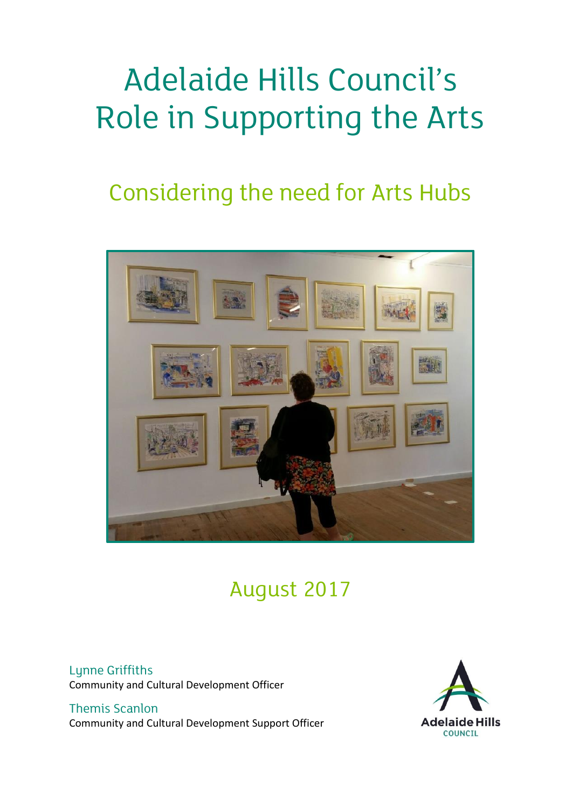# Adelaide Hills Council's Role in Supporting the Arts

# Considering the need for Arts Hubs



# August 2017

Lunne Griffiths Community and Cultural Development Officer

Themis Scanlon Community and Cultural Development Support Officer

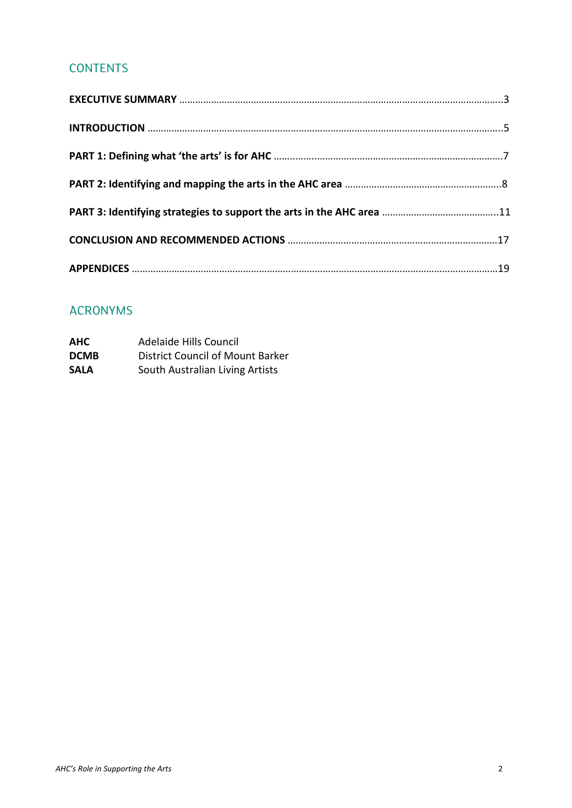# **CONTENTS**

# ACRONYMS

| <b>AHC</b>  | Adelaide Hills Council           |
|-------------|----------------------------------|
| <b>DCMB</b> | District Council of Mount Barker |
| <b>SALA</b> | South Australian Living Artists  |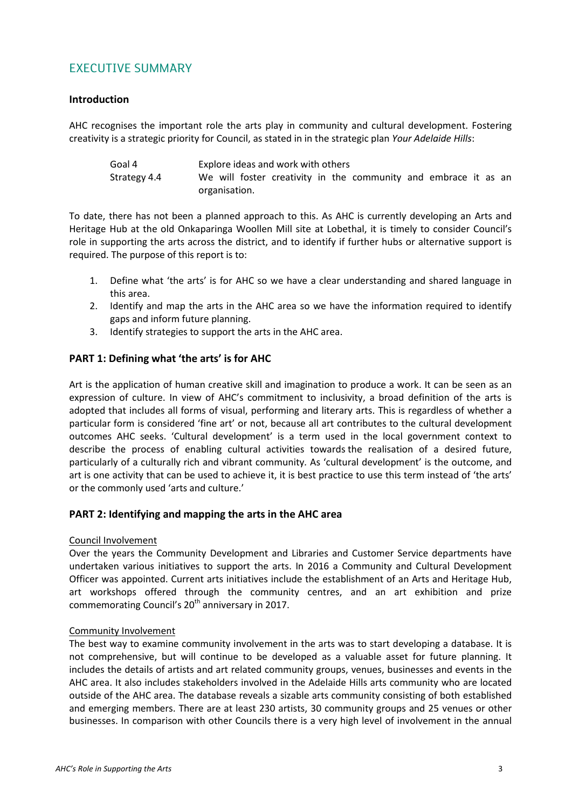# EXECUTIVE SUMMARY

#### **Introduction**

AHC recognises the important role the arts play in community and cultural development. Fostering creativity is a strategic priority for Council, as stated in in the strategic plan *Your Adelaide Hills*:

Goal 4 Explore ideas and work with others Strategy 4.4 We will foster creativity in the community and embrace it as an organisation.

To date, there has not been a planned approach to this. As AHC is currently developing an Arts and Heritage Hub at the old Onkaparinga Woollen Mill site at Lobethal, it is timely to consider Council's role in supporting the arts across the district, and to identify if further hubs or alternative support is required. The purpose of this report is to:

- 1. Define what 'the arts' is for AHC so we have a clear understanding and shared language in this area.
- 2. Identify and map the arts in the AHC area so we have the information required to identify gaps and inform future planning.
- 3. Identify strategies to support the arts in the AHC area.

#### **PART 1: Defining what 'the arts' is for AHC**

Art is the application of human creative skill and imagination to produce a work. It can be seen as an expression of culture. In view of AHC's commitment to inclusivity, a broad definition of the arts is adopted that includes all forms of visual, performing and literary arts. This is regardless of whether a particular form is considered 'fine art' or not, because all art contributes to the cultural development outcomes AHC seeks. 'Cultural development' is a term used in the local government context to describe the process of enabling cultural activities towards the realisation of a desired future, particularly of a culturally rich and vibrant community*.* As 'cultural development' is the outcome, and art is one activity that can be used to achieve it, it is best practice to use this term instead of 'the arts' or the commonly used 'arts and culture.'

#### **PART 2: Identifying and mapping the arts in the AHC area**

#### Council Involvement

Over the years the Community Development and Libraries and Customer Service departments have undertaken various initiatives to support the arts. In 2016 a Community and Cultural Development Officer was appointed. Current arts initiatives include the establishment of an Arts and Heritage Hub, art workshops offered through the community centres, and an art exhibition and prize commemorating Council's 20<sup>th</sup> anniversary in 2017.

#### Community Involvement

The best way to examine community involvement in the arts was to start developing a database. It is not comprehensive, but will continue to be developed as a valuable asset for future planning. It includes the details of artists and art related community groups, venues, businesses and events in the AHC area. It also includes stakeholders involved in the Adelaide Hills arts community who are located outside of the AHC area. The database reveals a sizable arts community consisting of both established and emerging members. There are at least 230 artists, 30 community groups and 25 venues or other businesses. In comparison with other Councils there is a very high level of involvement in the annual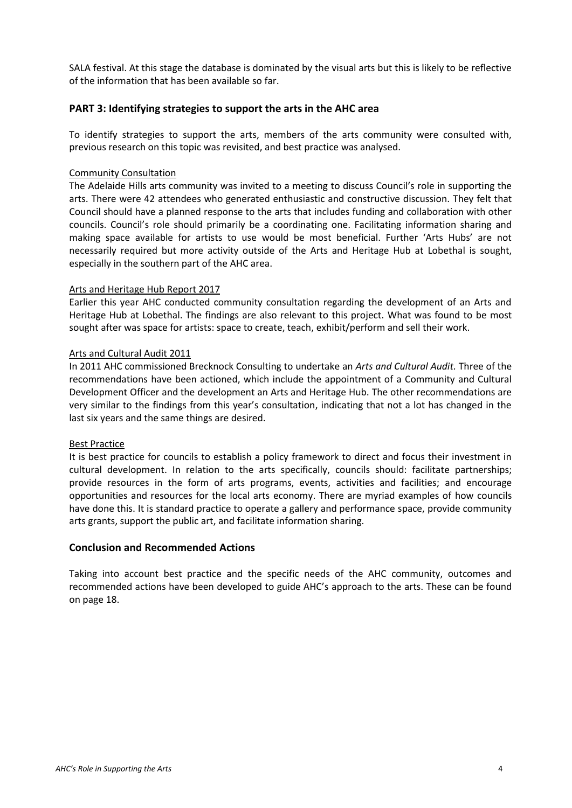SALA festival. At this stage the database is dominated by the visual arts but this is likely to be reflective of the information that has been available so far.

#### **PART 3: Identifying strategies to support the arts in the AHC area**

To identify strategies to support the arts, members of the arts community were consulted with, previous research on this topic was revisited, and best practice was analysed.

#### Community Consultation

The Adelaide Hills arts community was invited to a meeting to discuss Council's role in supporting the arts. There were 42 attendees who generated enthusiastic and constructive discussion. They felt that Council should have a planned response to the arts that includes funding and collaboration with other councils. Council's role should primarily be a coordinating one. Facilitating information sharing and making space available for artists to use would be most beneficial. Further 'Arts Hubs' are not necessarily required but more activity outside of the Arts and Heritage Hub at Lobethal is sought, especially in the southern part of the AHC area.

#### Arts and Heritage Hub Report 2017

Earlier this year AHC conducted community consultation regarding the development of an Arts and Heritage Hub at Lobethal. The findings are also relevant to this project. What was found to be most sought after was space for artists: space to create, teach, exhibit/perform and sell their work.

#### Arts and Cultural Audit 2011

In 2011 AHC commissioned Brecknock Consulting to undertake an *Arts and Cultural Audit.* Three of the recommendations have been actioned, which include the appointment of a Community and Cultural Development Officer and the development an Arts and Heritage Hub. The other recommendations are very similar to the findings from this year's consultation, indicating that not a lot has changed in the last six years and the same things are desired.

#### Best Practice

It is best practice for councils to establish a policy framework to direct and focus their investment in cultural development. In relation to the arts specifically, councils should: facilitate partnerships; provide resources in the form of arts programs, events, activities and facilities; and encourage opportunities and resources for the local arts economy. There are myriad examples of how councils have done this. It is standard practice to operate a gallery and performance space, provide community arts grants, support the public art, and facilitate information sharing.

#### **Conclusion and Recommended Actions**

Taking into account best practice and the specific needs of the AHC community, outcomes and recommended actions have been developed to guide AHC's approach to the arts. These can be found on page 18.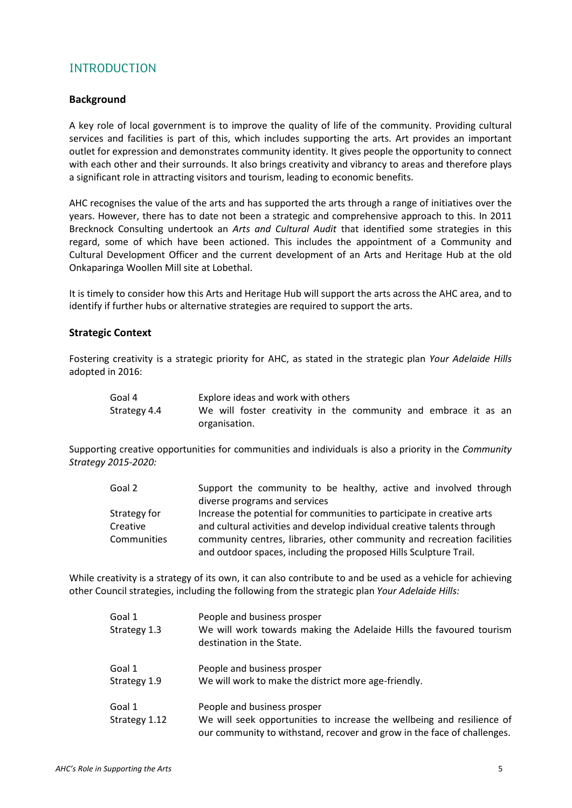# INTRODUCTION

#### **Background**

A key role of local government is to improve the quality of life of the community. Providing cultural services and facilities is part of this, which includes supporting the arts. Art provides an important outlet for expression and demonstrates community identity. It gives people the opportunity to connect with each other and their surrounds. It also brings creativity and vibrancy to areas and therefore plays a significant role in attracting visitors and tourism, leading to economic benefits.

AHC recognises the value of the arts and has supported the arts through a range of initiatives over the years. However, there has to date not been a strategic and comprehensive approach to this. In 2011 Brecknock Consulting undertook an *Arts and Cultural Audit* that identified some strategies in this regard, some of which have been actioned. This includes the appointment of a Community and Cultural Development Officer and the current development of an Arts and Heritage Hub at the old Onkaparinga Woollen Mill site at Lobethal.

It is timely to consider how this Arts and Heritage Hub will support the arts across the AHC area, and to identify if further hubs or alternative strategies are required to support the arts.

#### **Strategic Context**

Fostering creativity is a strategic priority for AHC, as stated in the strategic plan *Your Adelaide Hills* adopted in 2016:

| Goal 4       | Explore ideas and work with others                              |  |  |  |  |
|--------------|-----------------------------------------------------------------|--|--|--|--|
| Strategy 4.4 | We will foster creativity in the community and embrace it as an |  |  |  |  |
|              | organisation.                                                   |  |  |  |  |

Supporting creative opportunities for communities and individuals is also a priority in the *Community Strategy 2015-2020:*

| Goal 2             | Support the community to be healthy, active and involved through        |  |  |  |
|--------------------|-------------------------------------------------------------------------|--|--|--|
|                    | diverse programs and services                                           |  |  |  |
| Strategy for       | Increase the potential for communities to participate in creative arts  |  |  |  |
| Creative           | and cultural activities and develop individual creative talents through |  |  |  |
| <b>Communities</b> | community centres, libraries, other community and recreation facilities |  |  |  |
|                    | and outdoor spaces, including the proposed Hills Sculpture Trail.       |  |  |  |

While creativity is a strategy of its own, it can also contribute to and be used as a vehicle for achieving other Council strategies, including the following from the strategic plan *Your Adelaide Hills:*

| Goal 1<br>Strategy 1.3  | People and business prosper<br>We will work towards making the Adelaide Hills the favoured tourism<br>destination in the State.                                                  |
|-------------------------|----------------------------------------------------------------------------------------------------------------------------------------------------------------------------------|
| Goal 1<br>Strategy 1.9  | People and business prosper<br>We will work to make the district more age-friendly.                                                                                              |
| Goal 1<br>Strategy 1.12 | People and business prosper<br>We will seek opportunities to increase the wellbeing and resilience of<br>our community to withstand, recover and grow in the face of challenges. |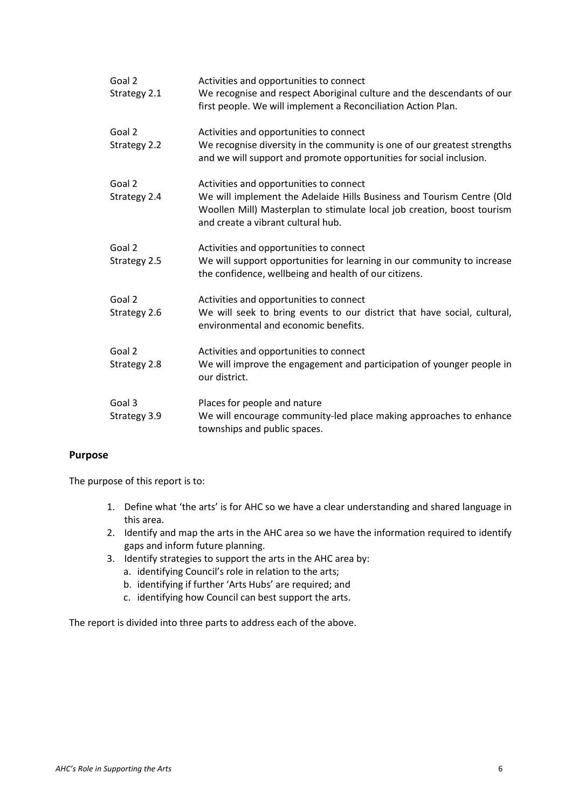| Goal 2<br>Strategy 2.1 | Activities and opportunities to connect<br>We recognise and respect Aboriginal culture and the descendants of our<br>first people. We will implement a Reconciliation Action Plan.                                                |
|------------------------|-----------------------------------------------------------------------------------------------------------------------------------------------------------------------------------------------------------------------------------|
| Goal 2<br>Strategy 2.2 | Activities and opportunities to connect<br>We recognise diversity in the community is one of our greatest strengths<br>and we will support and promote opportunities for social inclusion.                                        |
| Goal 2<br>Strategy 2.4 | Activities and opportunities to connect<br>We will implement the Adelaide Hills Business and Tourism Centre (Old<br>Woollen Mill) Masterplan to stimulate local job creation, boost tourism<br>and create a vibrant cultural hub. |
| Goal 2<br>Strategy 2.5 | Activities and opportunities to connect<br>We will support opportunities for learning in our community to increase<br>the confidence, wellbeing and health of our citizens.                                                       |
| Goal 2<br>Strategy 2.6 | Activities and opportunities to connect<br>We will seek to bring events to our district that have social, cultural,<br>environmental and economic benefits.                                                                       |
| Goal 2<br>Strategy 2.8 | Activities and opportunities to connect<br>We will improve the engagement and participation of younger people in<br>our district.                                                                                                 |
| Goal 3<br>Strategy 3.9 | Places for people and nature<br>We will encourage community-led place making approaches to enhance<br>townships and public spaces.                                                                                                |

#### **Purpose**

The purpose of this report is to:

- 1. Define what 'the arts' is for AHC so we have a clear understanding and shared language in this area.
- 2. Identify and map the arts in the AHC area so we have the information required to identify gaps and inform future planning.
- 3. Identify strategies to support the arts in the AHC area by:
	- a. identifying Council's role in relation to the arts;
	- b. identifying if further 'Arts Hubs' are required; and
	- c. identifying how Council can best support the arts.

The report is divided into three parts to address each of the above.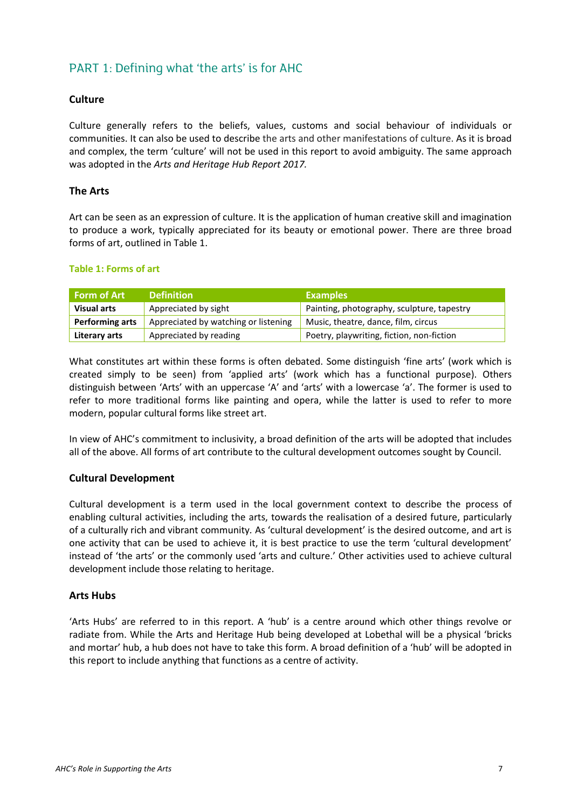# PART 1: Defining what 'the arts' is for AHC

#### **Culture**

Culture generally refers to the beliefs, values, customs and social behaviour of individuals or communities. It can also be used to describe the arts and other manifestations of culture. As it is broad and complex, the term 'culture' will not be used in this report to avoid ambiguity. The same approach was adopted in the *Arts and Heritage Hub Report 2017.*

#### **The Arts**

Art can be seen as an expression of culture. It is the application of human creative skill and imagination to produce a work, typically appreciated for its beauty or emotional power. There are three broad forms of art, outlined in Table 1.

#### **Table 1: Forms of art**

| Form of Art                                             | <b>Definition</b>      | <b>Examples</b>                            |
|---------------------------------------------------------|------------------------|--------------------------------------------|
| <b>Visual arts</b>                                      | Appreciated by sight   | Painting, photography, sculpture, tapestry |
| Performing arts<br>Appreciated by watching or listening |                        | Music, theatre, dance, film, circus        |
| Literary arts                                           | Appreciated by reading | Poetry, playwriting, fiction, non-fiction  |

What constitutes art within these forms is often debated. Some distinguish 'fine arts' (work which is created simply to be seen) from 'applied arts' (work which has a functional purpose). Others distinguish between 'Arts' with an uppercase 'A' and 'arts' with a lowercase 'a'. The former is used to refer to more traditional forms like painting and opera, while the latter is used to refer to more modern, popular cultural forms like street art.

In view of AHC's commitment to inclusivity, a broad definition of the arts will be adopted that includes all of the above. All forms of art contribute to the cultural development outcomes sought by Council.

#### **Cultural Development**

Cultural development is a term used in the local government context to describe the process of enabling cultural activities, including the arts, towards the realisation of a desired future, particularly of a culturally rich and vibrant community*.* As 'cultural development' is the desired outcome, and art is one activity that can be used to achieve it, it is best practice to use the term 'cultural development' instead of 'the arts' or the commonly used 'arts and culture.' Other activities used to achieve cultural development include those relating to heritage.

#### **Arts Hubs**

'Arts Hubs' are referred to in this report. A 'hub' is a centre around which other things revolve or radiate from. While the Arts and Heritage Hub being developed at Lobethal will be a physical 'bricks and mortar' hub, a hub does not have to take this form. A broad definition of a 'hub' will be adopted in this report to include anything that functions as a centre of activity.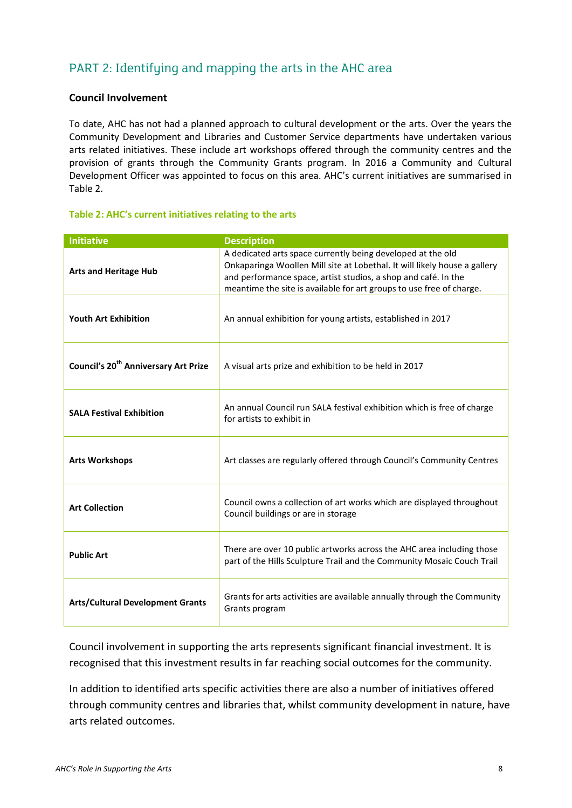# PART 2: Identifying and mapping the arts in the AHC area

#### **Council Involvement**

To date, AHC has not had a planned approach to cultural development or the arts. Over the years the Community Development and Libraries and Customer Service departments have undertaken various arts related initiatives. These include art workshops offered through the community centres and the provision of grants through the Community Grants program. In 2016 a Community and Cultural Development Officer was appointed to focus on this area. AHC's current initiatives are summarised in Table 2.

#### **Table 2: AHC's current initiatives relating to the arts**

| <b>Initiative</b>                                | <b>Description</b>                                                                                                                                                                                                                                                                 |  |  |
|--------------------------------------------------|------------------------------------------------------------------------------------------------------------------------------------------------------------------------------------------------------------------------------------------------------------------------------------|--|--|
| <b>Arts and Heritage Hub</b>                     | A dedicated arts space currently being developed at the old<br>Onkaparinga Woollen Mill site at Lobethal. It will likely house a gallery<br>and performance space, artist studios, a shop and café. In the<br>meantime the site is available for art groups to use free of charge. |  |  |
| <b>Youth Art Exhibition</b>                      | An annual exhibition for young artists, established in 2017                                                                                                                                                                                                                        |  |  |
| Council's 20 <sup>th</sup> Anniversary Art Prize | A visual arts prize and exhibition to be held in 2017                                                                                                                                                                                                                              |  |  |
| <b>SALA Festival Exhibition</b>                  | An annual Council run SALA festival exhibition which is free of charge<br>for artists to exhibit in                                                                                                                                                                                |  |  |
| <b>Arts Workshops</b>                            | Art classes are regularly offered through Council's Community Centres                                                                                                                                                                                                              |  |  |
| <b>Art Collection</b>                            | Council owns a collection of art works which are displayed throughout<br>Council buildings or are in storage                                                                                                                                                                       |  |  |
| <b>Public Art</b>                                | There are over 10 public artworks across the AHC area including those<br>part of the Hills Sculpture Trail and the Community Mosaic Couch Trail                                                                                                                                    |  |  |
| <b>Arts/Cultural Development Grants</b>          | Grants for arts activities are available annually through the Community<br>Grants program                                                                                                                                                                                          |  |  |

Council involvement in supporting the arts represents significant financial investment. It is recognised that this investment results in far reaching social outcomes for the community.

In addition to identified arts specific activities there are also a number of initiatives offered through community centres and libraries that, whilst community development in nature, have arts related outcomes.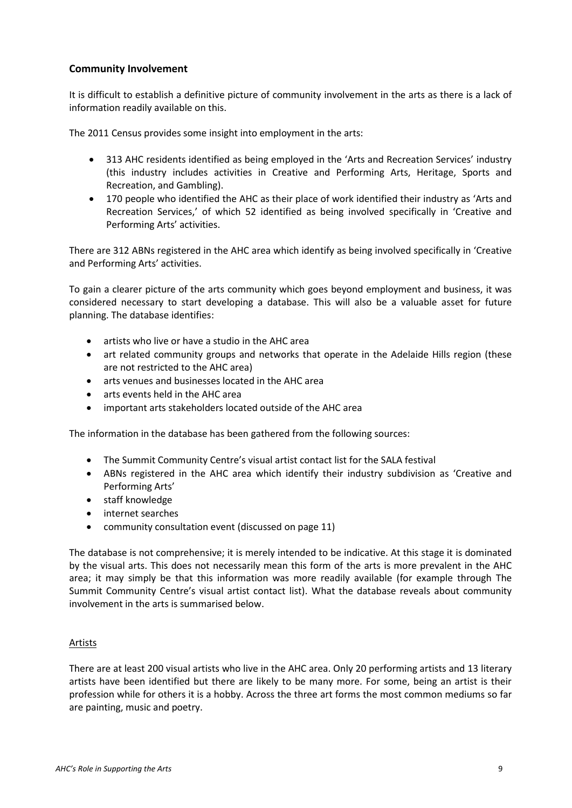#### **Community Involvement**

It is difficult to establish a definitive picture of community involvement in the arts as there is a lack of information readily available on this.

The 2011 Census provides some insight into employment in the arts:

- 313 AHC residents identified as being employed in the 'Arts and Recreation Services' industry (this industry includes activities in Creative and Performing Arts, Heritage, Sports and Recreation, and Gambling).
- 170 people who identified the AHC as their place of work identified their industry as 'Arts and Recreation Services,' of which 52 identified as being involved specifically in 'Creative and Performing Arts' activities.

There are 312 ABNs registered in the AHC area which identify as being involved specifically in 'Creative and Performing Arts' activities.

To gain a clearer picture of the arts community which goes beyond employment and business, it was considered necessary to start developing a database. This will also be a valuable asset for future planning. The database identifies:

- artists who live or have a studio in the AHC area
- art related community groups and networks that operate in the Adelaide Hills region (these are not restricted to the AHC area)
- arts venues and businesses located in the AHC area
- arts events held in the AHC area
- important arts stakeholders located outside of the AHC area

The information in the database has been gathered from the following sources:

- The Summit Community Centre's visual artist contact list for the SALA festival
- ABNs registered in the AHC area which identify their industry subdivision as 'Creative and Performing Arts'
- staff knowledge
- internet searches
- community consultation event (discussed on page 11)

The database is not comprehensive; it is merely intended to be indicative. At this stage it is dominated by the visual arts. This does not necessarily mean this form of the arts is more prevalent in the AHC area; it may simply be that this information was more readily available (for example through The Summit Community Centre's visual artist contact list). What the database reveals about community involvement in the arts is summarised below.

#### Artists

There are at least 200 visual artists who live in the AHC area. Only 20 performing artists and 13 literary artists have been identified but there are likely to be many more. For some, being an artist is their profession while for others it is a hobby. Across the three art forms the most common mediums so far are painting, music and poetry.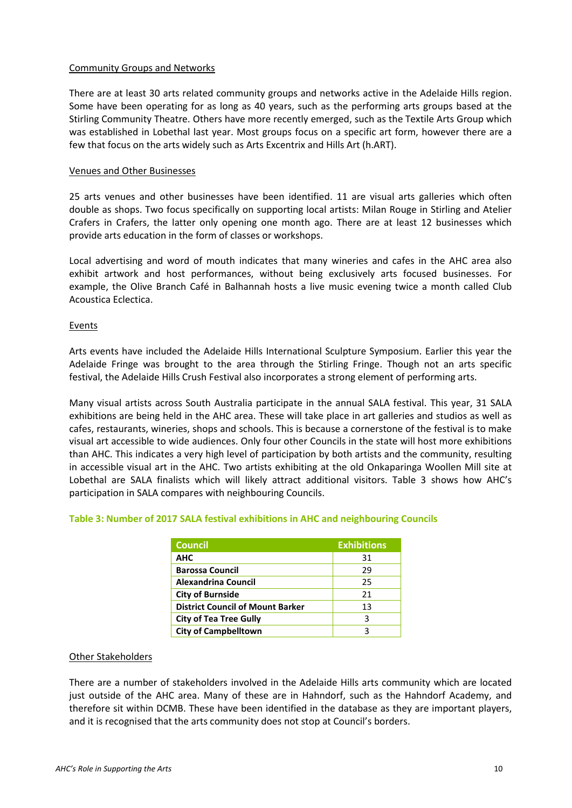#### Community Groups and Networks

There are at least 30 arts related community groups and networks active in the Adelaide Hills region. Some have been operating for as long as 40 years, such as the performing arts groups based at the Stirling Community Theatre. Others have more recently emerged, such as the Textile Arts Group which was established in Lobethal last year. Most groups focus on a specific art form, however there are a few that focus on the arts widely such as Arts Excentrix and Hills Art (h.ART).

#### Venues and Other Businesses

25 arts venues and other businesses have been identified. 11 are visual arts galleries which often double as shops. Two focus specifically on supporting local artists: Milan Rouge in Stirling and Atelier Crafers in Crafers, the latter only opening one month ago. There are at least 12 businesses which provide arts education in the form of classes or workshops.

Local advertising and word of mouth indicates that many wineries and cafes in the AHC area also exhibit artwork and host performances, without being exclusively arts focused businesses. For example, the Olive Branch Café in Balhannah hosts a live music evening twice a month called Club Acoustica Eclectica.

#### Events

Arts events have included the Adelaide Hills International Sculpture Symposium. Earlier this year the Adelaide Fringe was brought to the area through the Stirling Fringe. Though not an arts specific festival, the Adelaide Hills Crush Festival also incorporates a strong element of performing arts.

Many visual artists across South Australia participate in the annual SALA festival. This year, 31 SALA exhibitions are being held in the AHC area. These will take place in art galleries and studios as well as cafes, restaurants, wineries, shops and schools. This is because a cornerstone of the festival is to make visual art accessible to wide audiences. Only four other Councils in the state will host more exhibitions than AHC. This indicates a very high level of participation by both artists and the community, resulting in accessible visual art in the AHC. Two artists exhibiting at the old Onkaparinga Woollen Mill site at Lobethal are SALA finalists which will likely attract additional visitors. Table 3 shows how AHC's participation in SALA compares with neighbouring Councils.

| Council                                 | <b>Exhibitions</b> |
|-----------------------------------------|--------------------|
| <b>AHC</b>                              | 31                 |
| <b>Barossa Council</b>                  | 29                 |
| <b>Alexandrina Council</b>              | 25                 |
| <b>City of Burnside</b>                 | 21                 |
| <b>District Council of Mount Barker</b> | 13                 |
| <b>City of Tea Tree Gully</b>           | 3                  |
| <b>City of Campbelltown</b>             |                    |

#### **Table 3: Number of 2017 SALA festival exhibitions in AHC and neighbouring Councils**

#### Other Stakeholders

There are a number of stakeholders involved in the Adelaide Hills arts community which are located just outside of the AHC area. Many of these are in Hahndorf, such as the Hahndorf Academy, and therefore sit within DCMB. These have been identified in the database as they are important players, and it is recognised that the arts community does not stop at Council's borders.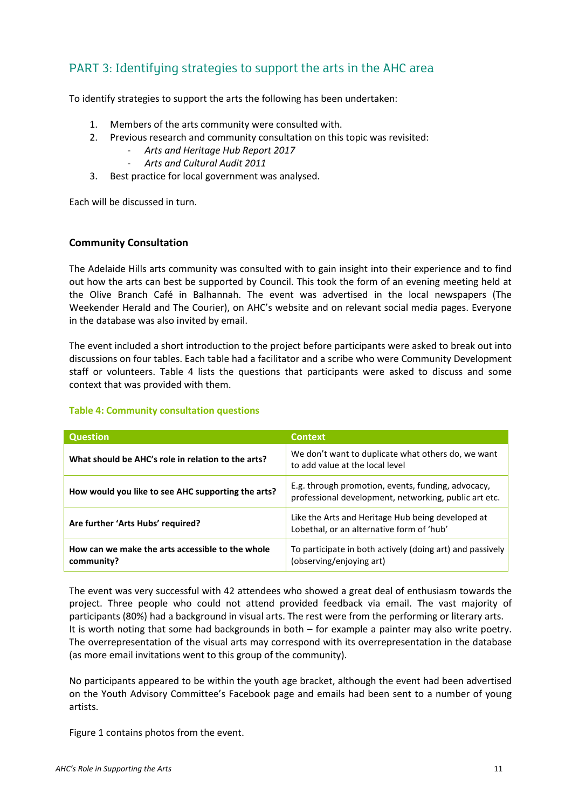# PART 3: Identifying strategies to support the arts in the AHC area

To identify strategies to support the arts the following has been undertaken:

- 1. Members of the arts community were consulted with.
- 2. Previous research and community consultation on this topic was revisited:
	- *Arts and Heritage Hub Report 2017*
	- *Arts and Cultural Audit 2011*
- 3. Best practice for local government was analysed.

Each will be discussed in turn.

#### **Community Consultation**

The Adelaide Hills arts community was consulted with to gain insight into their experience and to find out how the arts can best be supported by Council. This took the form of an evening meeting held at the Olive Branch Café in Balhannah. The event was advertised in the local newspapers (The Weekender Herald and The Courier), on AHC's website and on relevant social media pages. Everyone in the database was also invited by email.

The event included a short introduction to the project before participants were asked to break out into discussions on four tables. Each table had a facilitator and a scribe who were Community Development staff or volunteers. Table 4 lists the questions that participants were asked to discuss and some context that was provided with them.

#### **Table 4: Community consultation questions**

| <b>Question</b>                                                | <b>Context</b>                                                                                              |
|----------------------------------------------------------------|-------------------------------------------------------------------------------------------------------------|
| What should be AHC's role in relation to the arts?             | We don't want to duplicate what others do, we want<br>to add value at the local level                       |
| How would you like to see AHC supporting the arts?             | E.g. through promotion, events, funding, advocacy,<br>professional development, networking, public art etc. |
| Are further 'Arts Hubs' required?                              | Like the Arts and Heritage Hub being developed at<br>Lobethal, or an alternative form of 'hub'              |
| How can we make the arts accessible to the whole<br>community? | To participate in both actively (doing art) and passively<br>(observing/enjoying art)                       |

The event was very successful with 42 attendees who showed a great deal of enthusiasm towards the project. Three people who could not attend provided feedback via email. The vast majority of participants (80%) had a background in visual arts. The rest were from the performing or literary arts. It is worth noting that some had backgrounds in both – for example a painter may also write poetry. The overrepresentation of the visual arts may correspond with its overrepresentation in the database (as more email invitations went to this group of the community).

No participants appeared to be within the youth age bracket, although the event had been advertised on the Youth Advisory Committee's Facebook page and emails had been sent to a number of young artists.

Figure 1 contains photos from the event.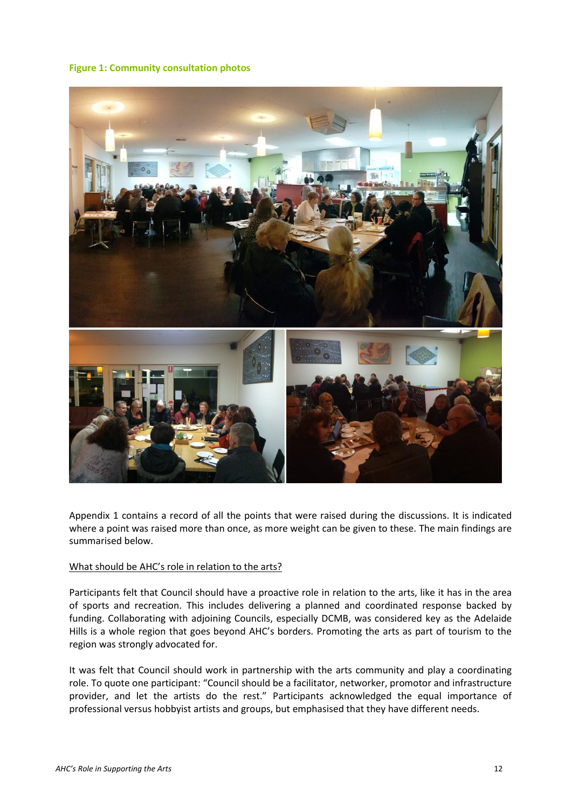#### **Figure 1: Community consultation photos**



Appendix 1 contains a record of all the points that were raised during the discussions. It is indicated where a point was raised more than once, as more weight can be given to these. The main findings are summarised below.

#### What should be AHC's role in relation to the arts?

Participants felt that Council should have a proactive role in relation to the arts, like it has in the area of sports and recreation. This includes delivering a planned and coordinated response backed by funding. Collaborating with adjoining Councils, especially DCMB, was considered key as the Adelaide Hills is a whole region that goes beyond AHC's borders. Promoting the arts as part of tourism to the region was strongly advocated for.

It was felt that Council should work in partnership with the arts community and play a coordinating role. To quote one participant: "Council should be a facilitator, networker, promotor and infrastructure provider, and let the artists do the rest." Participants acknowledged the equal importance of professional versus hobbyist artists and groups, but emphasised that they have different needs.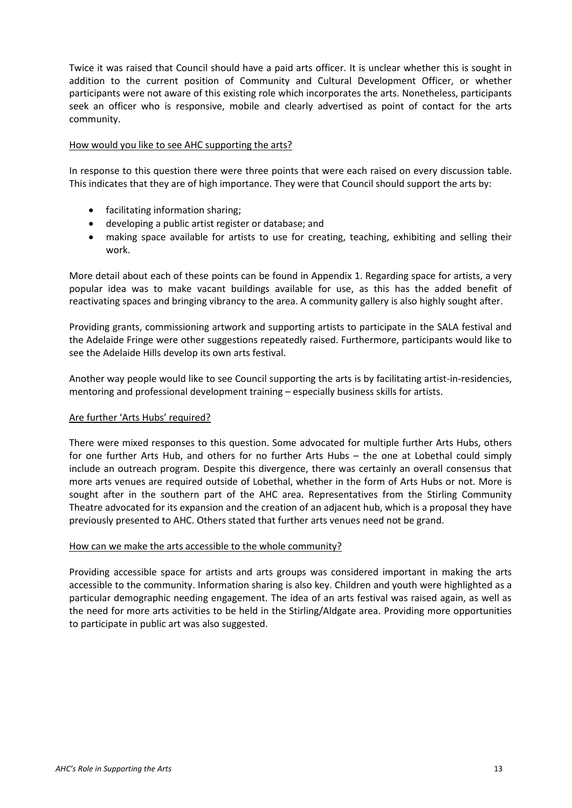Twice it was raised that Council should have a paid arts officer. It is unclear whether this is sought in addition to the current position of Community and Cultural Development Officer, or whether participants were not aware of this existing role which incorporates the arts. Nonetheless, participants seek an officer who is responsive, mobile and clearly advertised as point of contact for the arts community.

#### How would you like to see AHC supporting the arts?

In response to this question there were three points that were each raised on every discussion table. This indicates that they are of high importance. They were that Council should support the arts by:

- facilitating information sharing;
- developing a public artist register or database; and
- making space available for artists to use for creating, teaching, exhibiting and selling their work.

More detail about each of these points can be found in Appendix 1. Regarding space for artists, a very popular idea was to make vacant buildings available for use, as this has the added benefit of reactivating spaces and bringing vibrancy to the area. A community gallery is also highly sought after.

Providing grants, commissioning artwork and supporting artists to participate in the SALA festival and the Adelaide Fringe were other suggestions repeatedly raised. Furthermore, participants would like to see the Adelaide Hills develop its own arts festival.

Another way people would like to see Council supporting the arts is by facilitating artist-in-residencies, mentoring and professional development training – especially business skills for artists.

#### Are further 'Arts Hubs' required?

There were mixed responses to this question. Some advocated for multiple further Arts Hubs, others for one further Arts Hub, and others for no further Arts Hubs – the one at Lobethal could simply include an outreach program. Despite this divergence, there was certainly an overall consensus that more arts venues are required outside of Lobethal, whether in the form of Arts Hubs or not. More is sought after in the southern part of the AHC area. Representatives from the Stirling Community Theatre advocated for its expansion and the creation of an adjacent hub, which is a proposal they have previously presented to AHC. Others stated that further arts venues need not be grand.

#### How can we make the arts accessible to the whole community?

Providing accessible space for artists and arts groups was considered important in making the arts accessible to the community. Information sharing is also key. Children and youth were highlighted as a particular demographic needing engagement. The idea of an arts festival was raised again, as well as the need for more arts activities to be held in the Stirling/Aldgate area. Providing more opportunities to participate in public art was also suggested.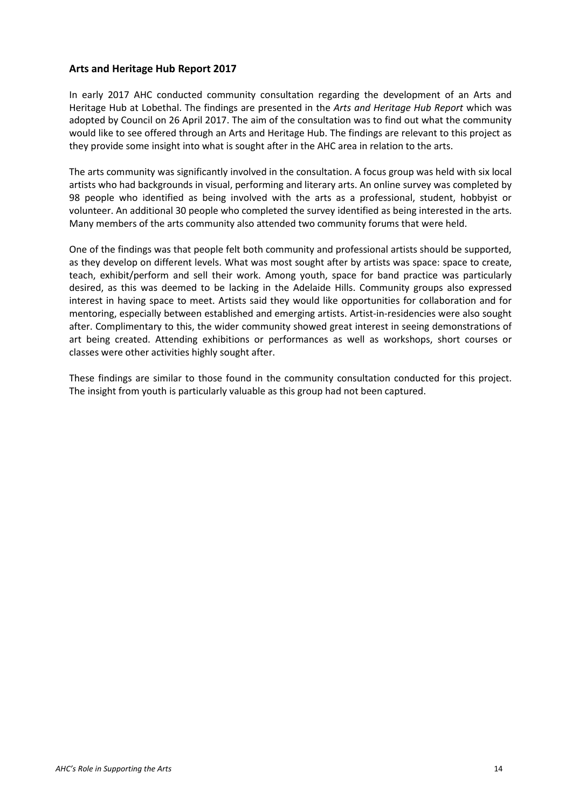#### **Arts and Heritage Hub Report 2017**

In early 2017 AHC conducted community consultation regarding the development of an Arts and Heritage Hub at Lobethal. The findings are presented in the *Arts and Heritage Hub Report* which was adopted by Council on 26 April 2017. The aim of the consultation was to find out what the community would like to see offered through an Arts and Heritage Hub. The findings are relevant to this project as they provide some insight into what is sought after in the AHC area in relation to the arts.

The arts community was significantly involved in the consultation. A focus group was held with six local artists who had backgrounds in visual, performing and literary arts. An online survey was completed by 98 people who identified as being involved with the arts as a professional, student, hobbyist or volunteer. An additional 30 people who completed the survey identified as being interested in the arts. Many members of the arts community also attended two community forums that were held.

One of the findings was that people felt both community and professional artists should be supported, as they develop on different levels. What was most sought after by artists was space: space to create, teach, exhibit/perform and sell their work. Among youth, space for band practice was particularly desired, as this was deemed to be lacking in the Adelaide Hills. Community groups also expressed interest in having space to meet. Artists said they would like opportunities for collaboration and for mentoring, especially between established and emerging artists. Artist-in-residencies were also sought after. Complimentary to this, the wider community showed great interest in seeing demonstrations of art being created. Attending exhibitions or performances as well as workshops, short courses or classes were other activities highly sought after.

These findings are similar to those found in the community consultation conducted for this project. The insight from youth is particularly valuable as this group had not been captured.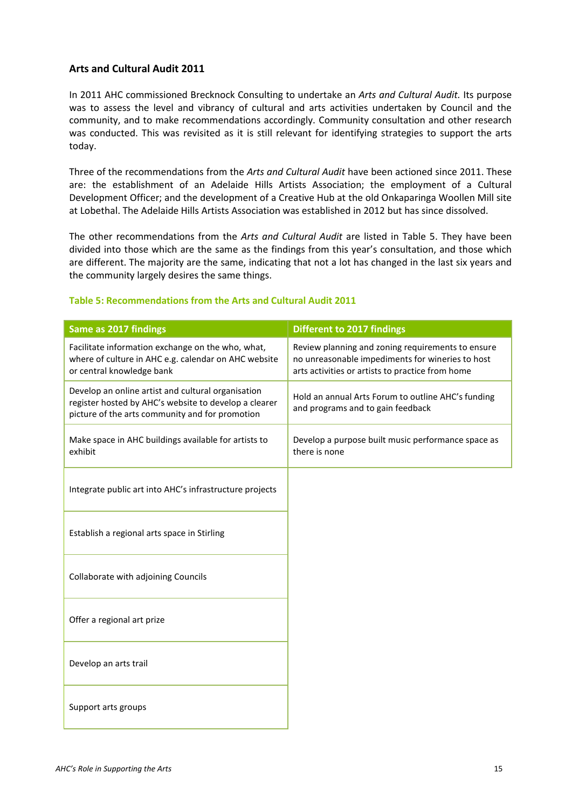#### **Arts and Cultural Audit 2011**

In 2011 AHC commissioned Brecknock Consulting to undertake an *Arts and Cultural Audit.* Its purpose was to assess the level and vibrancy of cultural and arts activities undertaken by Council and the community, and to make recommendations accordingly. Community consultation and other research was conducted. This was revisited as it is still relevant for identifying strategies to support the arts today.

Three of the recommendations from the *Arts and Cultural Audit* have been actioned since 2011. These are: the establishment of an Adelaide Hills Artists Association; the employment of a Cultural Development Officer; and the development of a Creative Hub at the old Onkaparinga Woollen Mill site at Lobethal. The Adelaide Hills Artists Association was established in 2012 but has since dissolved.

The other recommendations from the *Arts and Cultural Audit* are listed in Table 5. They have been divided into those which are the same as the findings from this year's consultation, and those which are different. The majority are the same, indicating that not a lot has changed in the last six years and the community largely desires the same things.

| Same as 2017 findings                                                                                                                                          | <b>Different to 2017 findings</b>                                                                                                                         |
|----------------------------------------------------------------------------------------------------------------------------------------------------------------|-----------------------------------------------------------------------------------------------------------------------------------------------------------|
| Facilitate information exchange on the who, what,<br>where of culture in AHC e.g. calendar on AHC website<br>or central knowledge bank                         | Review planning and zoning requirements to ensure<br>no unreasonable impediments for wineries to host<br>arts activities or artists to practice from home |
| Develop an online artist and cultural organisation<br>register hosted by AHC's website to develop a clearer<br>picture of the arts community and for promotion | Hold an annual Arts Forum to outline AHC's funding<br>and programs and to gain feedback                                                                   |
| Make space in AHC buildings available for artists to<br>exhibit                                                                                                | Develop a purpose built music performance space as<br>there is none                                                                                       |
| Integrate public art into AHC's infrastructure projects                                                                                                        |                                                                                                                                                           |
| Establish a regional arts space in Stirling                                                                                                                    |                                                                                                                                                           |
| Collaborate with adjoining Councils                                                                                                                            |                                                                                                                                                           |
| Offer a regional art prize                                                                                                                                     |                                                                                                                                                           |
| Develop an arts trail                                                                                                                                          |                                                                                                                                                           |
| Support arts groups                                                                                                                                            |                                                                                                                                                           |

#### **Table 5: Recommendations from the Arts and Cultural Audit 2011**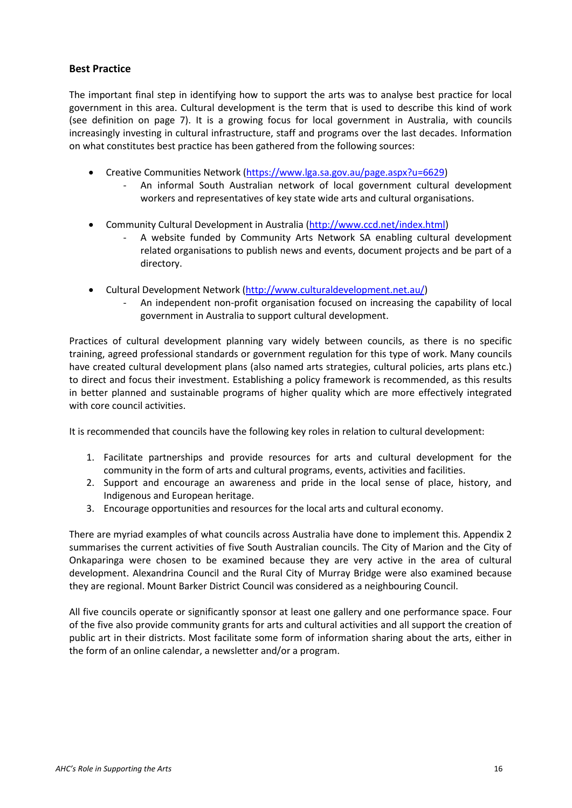#### **Best Practice**

The important final step in identifying how to support the arts was to analyse best practice for local government in this area. Cultural development is the term that is used to describe this kind of work (see definition on page 7). It is a growing focus for local government in Australia, with councils increasingly investing in cultural infrastructure, staff and programs over the last decades. Information on what constitutes best practice has been gathered from the following sources:

- Creative Communities Network [\(https://www.lga.sa.gov.au/page.aspx?u=6629\)](https://www.lga.sa.gov.au/page.aspx?u=6629)
	- An informal South Australian network of local government cultural development workers and representatives of key state wide arts and cultural organisations.
- Community Cultural Development in Australia [\(http://www.ccd.net/index.html\)](http://www.ccd.net/index.html)
	- A website funded by Community Arts Network SA enabling cultural development related organisations to publish news and events, document projects and be part of a directory.
- Cultural Development Network [\(http://www.culturaldevelopment.net.au/\)](http://www.culturaldevelopment.net.au/)
	- An independent non-profit organisation focused on increasing the capability of local government in Australia to support cultural development.

Practices of cultural development planning vary widely between councils, as there is no specific training, agreed professional standards or government regulation for this type of work. Many councils have created cultural development plans (also named arts strategies, cultural policies, arts plans etc.) to direct and focus their investment. Establishing a policy framework is recommended, as this results in better planned and sustainable programs of higher quality which are more effectively integrated with core council activities.

It is recommended that councils have the following key roles in relation to cultural development:

- 1. Facilitate partnerships and provide resources for arts and cultural development for the community in the form of arts and cultural programs, events, activities and facilities.
- 2. Support and encourage an awareness and pride in the local sense of place, history, and Indigenous and European heritage.
- 3. Encourage opportunities and resources for the local arts and cultural economy.

There are myriad examples of what councils across Australia have done to implement this. Appendix 2 summarises the current activities of five South Australian councils. The City of Marion and the City of Onkaparinga were chosen to be examined because they are very active in the area of cultural development. Alexandrina Council and the Rural City of Murray Bridge were also examined because they are regional. Mount Barker District Council was considered as a neighbouring Council.

All five councils operate or significantly sponsor at least one gallery and one performance space. Four of the five also provide community grants for arts and cultural activities and all support the creation of public art in their districts. Most facilitate some form of information sharing about the arts, either in the form of an online calendar, a newsletter and/or a program.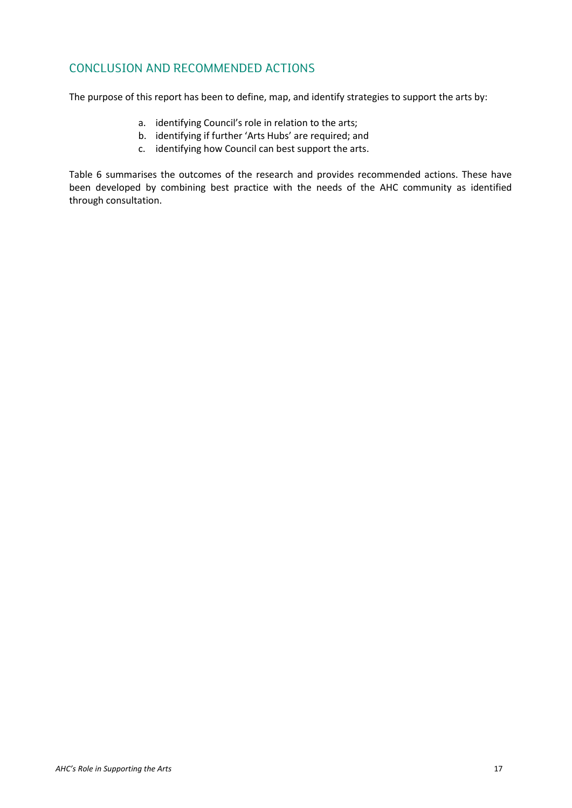# CONCLUSION AND RECOMMENDED ACTIONS

The purpose of this report has been to define, map, and identify strategies to support the arts by:

- a. identifying Council's role in relation to the arts;
- b. identifying if further 'Arts Hubs' are required; and
- c. identifying how Council can best support the arts.

Table 6 summarises the outcomes of the research and provides recommended actions. These have been developed by combining best practice with the needs of the AHC community as identified through consultation.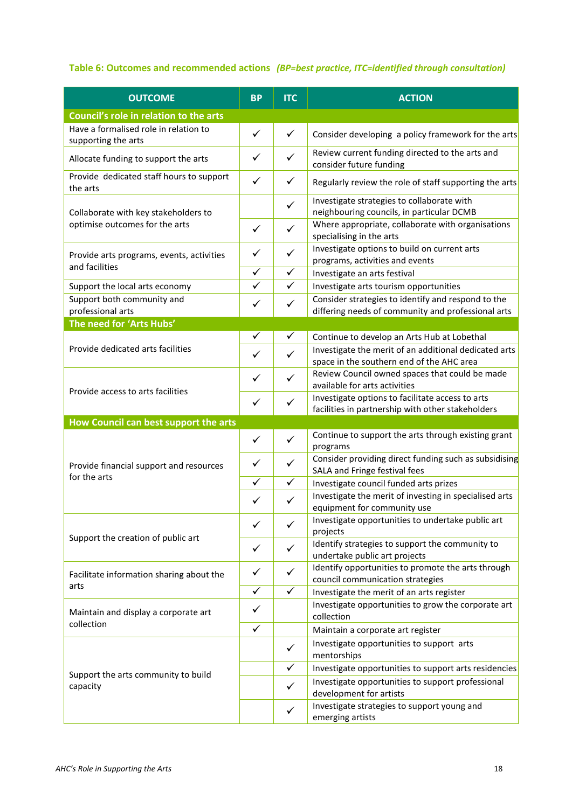#### **Table 6: Outcomes and recommended actions** *(BP=best practice, ITC=identified through consultation)*

| <b>OUTCOME</b>                                               | <b>BP</b>    | <b>ITC</b>   | <b>ACTION</b>                                                                                            |
|--------------------------------------------------------------|--------------|--------------|----------------------------------------------------------------------------------------------------------|
| Council's role in relation to the arts                       |              |              |                                                                                                          |
| Have a formalised role in relation to<br>supporting the arts | $\checkmark$ | $\checkmark$ | Consider developing a policy framework for the arts                                                      |
| Allocate funding to support the arts                         | $\checkmark$ | $\checkmark$ | Review current funding directed to the arts and<br>consider future funding                               |
| Provide dedicated staff hours to support<br>the arts         | $\checkmark$ | $\checkmark$ | Regularly review the role of staff supporting the arts                                                   |
| Collaborate with key stakeholders to                         |              | $\checkmark$ | Investigate strategies to collaborate with<br>neighbouring councils, in particular DCMB                  |
| optimise outcomes for the arts                               | ✓            | $\checkmark$ | Where appropriate, collaborate with organisations<br>specialising in the arts                            |
| Provide arts programs, events, activities<br>and facilities  | ✓            | $\checkmark$ | Investigate options to build on current arts<br>programs, activities and events                          |
|                                                              | ✓            | $\checkmark$ | Investigate an arts festival                                                                             |
| Support the local arts economy                               | ✓            | $\checkmark$ | Investigate arts tourism opportunities                                                                   |
| Support both community and<br>professional arts              | $\checkmark$ | $\checkmark$ | Consider strategies to identify and respond to the<br>differing needs of community and professional arts |
| The need for 'Arts Hubs'                                     |              |              |                                                                                                          |
|                                                              | ✓            | ✓            | Continue to develop an Arts Hub at Lobethal                                                              |
| Provide dedicated arts facilities                            | ✓            | $\checkmark$ | Investigate the merit of an additional dedicated arts                                                    |
|                                                              |              |              | space in the southern end of the AHC area                                                                |
|                                                              | ✓            | $\checkmark$ | Review Council owned spaces that could be made                                                           |
| Provide access to arts facilities                            |              |              | available for arts activities                                                                            |
|                                                              | $\checkmark$ | $\checkmark$ | Investigate options to facilitate access to arts                                                         |
|                                                              |              |              | facilities in partnership with other stakeholders                                                        |
| How Council can best support the arts                        |              |              |                                                                                                          |
|                                                              | $\checkmark$ | $\checkmark$ | Continue to support the arts through existing grant<br>programs                                          |
| Provide financial support and resources<br>for the arts      | ✓            | $\checkmark$ | Consider providing direct funding such as subsidising<br>SALA and Fringe festival fees                   |
|                                                              | ✓            | $\checkmark$ | Investigate council funded arts prizes                                                                   |
|                                                              | ✓            | $\checkmark$ | Investigate the merit of investing in specialised arts<br>equipment for community use                    |
|                                                              | ✓            | ✓            | Investigate opportunities to undertake public art<br>projects                                            |
| Support the creation of public art                           | ✓            | $\checkmark$ | Identify strategies to support the community to<br>undertake public art projects                         |
| Facilitate information sharing about the                     | ✓            | $\checkmark$ | Identify opportunities to promote the arts through<br>council communication strategies                   |
| arts                                                         | $\checkmark$ | $\checkmark$ | Investigate the merit of an arts register                                                                |
| Maintain and display a corporate art                         | ✓            |              | Investigate opportunities to grow the corporate art<br>collection                                        |
| collection                                                   | $\checkmark$ |              | Maintain a corporate art register                                                                        |
|                                                              |              | ✓            | Investigate opportunities to support arts<br>mentorships                                                 |
|                                                              |              | $\checkmark$ | Investigate opportunities to support arts residencies                                                    |
| Support the arts community to build<br>capacity              |              | $\checkmark$ | Investigate opportunities to support professional<br>development for artists                             |
|                                                              |              | ✓            | Investigate strategies to support young and<br>emerging artists                                          |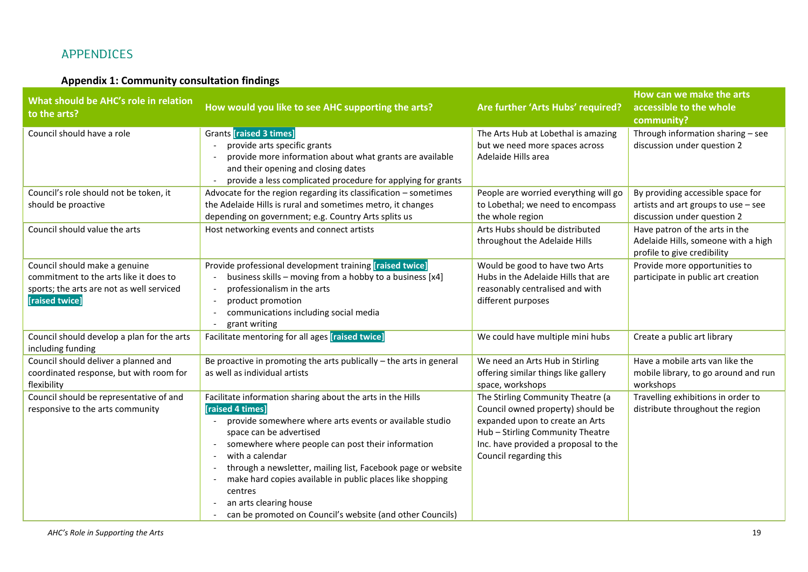# APPENDICES

# **Appendix 1: Community consultation findings**

| What should be AHC's role in relation<br>to the arts?                                                                                  | How would you like to see AHC supporting the arts?                                                                                                                                                                                                                                                                                                                                                                                                                          | Are further 'Arts Hubs' required?                                                                                                                                                                               | How can we make the arts<br>accessible to the whole<br>community?                                         |
|----------------------------------------------------------------------------------------------------------------------------------------|-----------------------------------------------------------------------------------------------------------------------------------------------------------------------------------------------------------------------------------------------------------------------------------------------------------------------------------------------------------------------------------------------------------------------------------------------------------------------------|-----------------------------------------------------------------------------------------------------------------------------------------------------------------------------------------------------------------|-----------------------------------------------------------------------------------------------------------|
| Council should have a role                                                                                                             | <b>Grants [raised 3 times]</b><br>provide arts specific grants<br>provide more information about what grants are available<br>and their opening and closing dates<br>provide a less complicated procedure for applying for grants                                                                                                                                                                                                                                           | The Arts Hub at Lobethal is amazing<br>but we need more spaces across<br>Adelaide Hills area                                                                                                                    | Through information sharing - see<br>discussion under question 2                                          |
| Council's role should not be token, it<br>should be proactive                                                                          | Advocate for the region regarding its classification $-$ sometimes<br>the Adelaide Hills is rural and sometimes metro, it changes<br>depending on government; e.g. Country Arts splits us                                                                                                                                                                                                                                                                                   | People are worried everything will go<br>to Lobethal; we need to encompass<br>the whole region                                                                                                                  | By providing accessible space for<br>artists and art groups to use $-$ see<br>discussion under question 2 |
| Council should value the arts                                                                                                          | Host networking events and connect artists                                                                                                                                                                                                                                                                                                                                                                                                                                  | Arts Hubs should be distributed<br>throughout the Adelaide Hills                                                                                                                                                | Have patron of the arts in the<br>Adelaide Hills, someone with a high<br>profile to give credibility      |
| Council should make a genuine<br>commitment to the arts like it does to<br>sports; the arts are not as well serviced<br>[raised twice] | Provide professional development training [raised twice]<br>business skills - moving from a hobby to a business [x4]<br>professionalism in the arts<br>product promotion<br>communications including social media<br>grant writing                                                                                                                                                                                                                                          | Would be good to have two Arts<br>Hubs in the Adelaide Hills that are<br>reasonably centralised and with<br>different purposes                                                                                  | Provide more opportunities to<br>participate in public art creation                                       |
| Council should develop a plan for the arts<br>including funding                                                                        | Facilitate mentoring for all ages [raised twice]                                                                                                                                                                                                                                                                                                                                                                                                                            | We could have multiple mini hubs                                                                                                                                                                                | Create a public art library                                                                               |
| Council should deliver a planned and<br>coordinated response, but with room for<br>flexibility                                         | Be proactive in promoting the arts publically $-$ the arts in general<br>as well as individual artists                                                                                                                                                                                                                                                                                                                                                                      | We need an Arts Hub in Stirling<br>offering similar things like gallery<br>space, workshops                                                                                                                     | Have a mobile arts van like the<br>mobile library, to go around and run<br>workshops                      |
| Council should be representative of and<br>responsive to the arts community                                                            | Facilitate information sharing about the arts in the Hills<br>[raised 4 times]<br>provide somewhere where arts events or available studio<br>space can be advertised<br>somewhere where people can post their information<br>with a calendar<br>through a newsletter, mailing list, Facebook page or website<br>make hard copies available in public places like shopping<br>centres<br>an arts clearing house<br>can be promoted on Council's website (and other Councils) | The Stirling Community Theatre (a<br>Council owned property) should be<br>expanded upon to create an Arts<br>Hub - Stirling Community Theatre<br>Inc. have provided a proposal to the<br>Council regarding this | Travelling exhibitions in order to<br>distribute throughout the region                                    |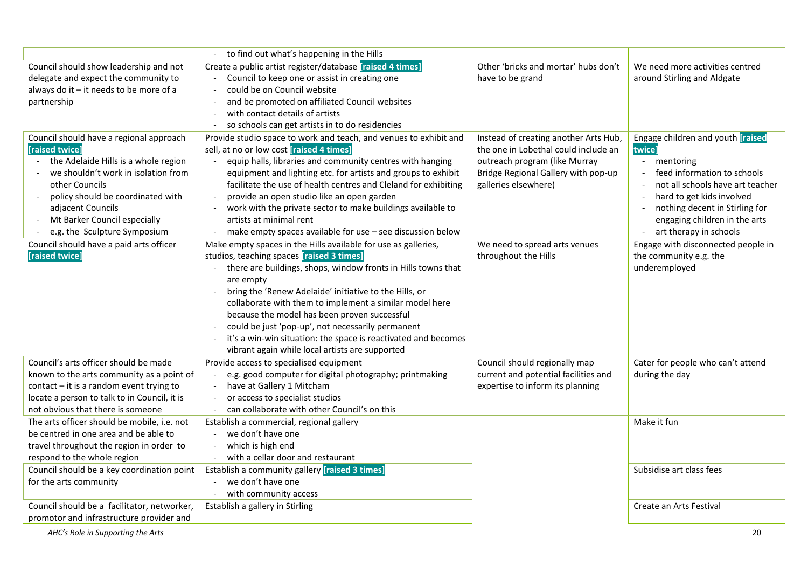|                                                                                                                                                                                                                                                                                                                                                   | to find out what's happening in the Hills                                                                                                                                                                                                                                                                                                                                                                                                                                                                                                                                                                                                                                                                                                                                                                                                                                                                                                                                                                                                 |                                                                                                                                                                                                                                        |                                                                                                                                                                                                                                                                                                                                                 |
|---------------------------------------------------------------------------------------------------------------------------------------------------------------------------------------------------------------------------------------------------------------------------------------------------------------------------------------------------|-------------------------------------------------------------------------------------------------------------------------------------------------------------------------------------------------------------------------------------------------------------------------------------------------------------------------------------------------------------------------------------------------------------------------------------------------------------------------------------------------------------------------------------------------------------------------------------------------------------------------------------------------------------------------------------------------------------------------------------------------------------------------------------------------------------------------------------------------------------------------------------------------------------------------------------------------------------------------------------------------------------------------------------------|----------------------------------------------------------------------------------------------------------------------------------------------------------------------------------------------------------------------------------------|-------------------------------------------------------------------------------------------------------------------------------------------------------------------------------------------------------------------------------------------------------------------------------------------------------------------------------------------------|
| Council should show leadership and not                                                                                                                                                                                                                                                                                                            | Create a public artist register/database [raised 4 times]                                                                                                                                                                                                                                                                                                                                                                                                                                                                                                                                                                                                                                                                                                                                                                                                                                                                                                                                                                                 | Other 'bricks and mortar' hubs don't                                                                                                                                                                                                   | We need more activities centred                                                                                                                                                                                                                                                                                                                 |
| delegate and expect the community to                                                                                                                                                                                                                                                                                                              | Council to keep one or assist in creating one                                                                                                                                                                                                                                                                                                                                                                                                                                                                                                                                                                                                                                                                                                                                                                                                                                                                                                                                                                                             | have to be grand                                                                                                                                                                                                                       | around Stirling and Aldgate                                                                                                                                                                                                                                                                                                                     |
| always do it - it needs to be more of a                                                                                                                                                                                                                                                                                                           | could be on Council website                                                                                                                                                                                                                                                                                                                                                                                                                                                                                                                                                                                                                                                                                                                                                                                                                                                                                                                                                                                                               |                                                                                                                                                                                                                                        |                                                                                                                                                                                                                                                                                                                                                 |
| partnership                                                                                                                                                                                                                                                                                                                                       | and be promoted on affiliated Council websites                                                                                                                                                                                                                                                                                                                                                                                                                                                                                                                                                                                                                                                                                                                                                                                                                                                                                                                                                                                            |                                                                                                                                                                                                                                        |                                                                                                                                                                                                                                                                                                                                                 |
|                                                                                                                                                                                                                                                                                                                                                   | with contact details of artists                                                                                                                                                                                                                                                                                                                                                                                                                                                                                                                                                                                                                                                                                                                                                                                                                                                                                                                                                                                                           |                                                                                                                                                                                                                                        |                                                                                                                                                                                                                                                                                                                                                 |
|                                                                                                                                                                                                                                                                                                                                                   | so schools can get artists in to do residencies                                                                                                                                                                                                                                                                                                                                                                                                                                                                                                                                                                                                                                                                                                                                                                                                                                                                                                                                                                                           |                                                                                                                                                                                                                                        |                                                                                                                                                                                                                                                                                                                                                 |
| Council should have a regional approach<br>[raised twice]<br>the Adelaide Hills is a whole region<br>we shouldn't work in isolation from<br>other Councils<br>policy should be coordinated with<br>adjacent Councils<br>Mt Barker Council especially<br>e.g. the Sculpture Symposium<br>Council should have a paid arts officer<br>[raised twice] | Provide studio space to work and teach, and venues to exhibit and<br>sell, at no or low cost [raised 4 times]<br>equip halls, libraries and community centres with hanging<br>equipment and lighting etc. for artists and groups to exhibit<br>facilitate the use of health centres and Cleland for exhibiting<br>provide an open studio like an open garden<br>$\overline{\phantom{a}}$<br>work with the private sector to make buildings available to<br>artists at minimal rent<br>make empty spaces available for use - see discussion below<br>Make empty spaces in the Hills available for use as galleries,<br>studios, teaching spaces [raised 3 times]<br>there are buildings, shops, window fronts in Hills towns that<br>are empty<br>bring the 'Renew Adelaide' initiative to the Hills, or<br>collaborate with them to implement a similar model here<br>because the model has been proven successful<br>could be just 'pop-up', not necessarily permanent<br>it's a win-win situation: the space is reactivated and becomes | Instead of creating another Arts Hub,<br>the one in Lobethal could include an<br>outreach program (like Murray<br>Bridge Regional Gallery with pop-up<br>galleries elsewhere)<br>We need to spread arts venues<br>throughout the Hills | Engage children and youth <i>[raised</i> ]<br>twice]<br>mentoring<br>feed information to schools<br>not all schools have art teacher<br>hard to get kids involved<br>nothing decent in Stirling for<br>engaging children in the arts<br>art therapy in schools<br>Engage with disconnected people in<br>the community e.g. the<br>underemployed |
| Council's arts officer should be made                                                                                                                                                                                                                                                                                                             | vibrant again while local artists are supported<br>Provide access to specialised equipment                                                                                                                                                                                                                                                                                                                                                                                                                                                                                                                                                                                                                                                                                                                                                                                                                                                                                                                                                | Council should regionally map                                                                                                                                                                                                          | Cater for people who can't attend                                                                                                                                                                                                                                                                                                               |
| known to the arts community as a point of                                                                                                                                                                                                                                                                                                         | e.g. good computer for digital photography; printmaking                                                                                                                                                                                                                                                                                                                                                                                                                                                                                                                                                                                                                                                                                                                                                                                                                                                                                                                                                                                   | current and potential facilities and                                                                                                                                                                                                   | during the day                                                                                                                                                                                                                                                                                                                                  |
| contact - it is a random event trying to                                                                                                                                                                                                                                                                                                          | have at Gallery 1 Mitcham                                                                                                                                                                                                                                                                                                                                                                                                                                                                                                                                                                                                                                                                                                                                                                                                                                                                                                                                                                                                                 | expertise to inform its planning                                                                                                                                                                                                       |                                                                                                                                                                                                                                                                                                                                                 |
| locate a person to talk to in Council, it is                                                                                                                                                                                                                                                                                                      | or access to specialist studios                                                                                                                                                                                                                                                                                                                                                                                                                                                                                                                                                                                                                                                                                                                                                                                                                                                                                                                                                                                                           |                                                                                                                                                                                                                                        |                                                                                                                                                                                                                                                                                                                                                 |
| not obvious that there is someone                                                                                                                                                                                                                                                                                                                 | can collaborate with other Council's on this                                                                                                                                                                                                                                                                                                                                                                                                                                                                                                                                                                                                                                                                                                                                                                                                                                                                                                                                                                                              |                                                                                                                                                                                                                                        |                                                                                                                                                                                                                                                                                                                                                 |
| The arts officer should be mobile, i.e. not                                                                                                                                                                                                                                                                                                       | Establish a commercial, regional gallery                                                                                                                                                                                                                                                                                                                                                                                                                                                                                                                                                                                                                                                                                                                                                                                                                                                                                                                                                                                                  |                                                                                                                                                                                                                                        | Make it fun                                                                                                                                                                                                                                                                                                                                     |
| be centred in one area and be able to                                                                                                                                                                                                                                                                                                             | we don't have one                                                                                                                                                                                                                                                                                                                                                                                                                                                                                                                                                                                                                                                                                                                                                                                                                                                                                                                                                                                                                         |                                                                                                                                                                                                                                        |                                                                                                                                                                                                                                                                                                                                                 |
| travel throughout the region in order to                                                                                                                                                                                                                                                                                                          | which is high end                                                                                                                                                                                                                                                                                                                                                                                                                                                                                                                                                                                                                                                                                                                                                                                                                                                                                                                                                                                                                         |                                                                                                                                                                                                                                        |                                                                                                                                                                                                                                                                                                                                                 |
| respond to the whole region                                                                                                                                                                                                                                                                                                                       | with a cellar door and restaurant                                                                                                                                                                                                                                                                                                                                                                                                                                                                                                                                                                                                                                                                                                                                                                                                                                                                                                                                                                                                         |                                                                                                                                                                                                                                        |                                                                                                                                                                                                                                                                                                                                                 |
| Council should be a key coordination point                                                                                                                                                                                                                                                                                                        | Establish a community gallery [raised 3 times]                                                                                                                                                                                                                                                                                                                                                                                                                                                                                                                                                                                                                                                                                                                                                                                                                                                                                                                                                                                            |                                                                                                                                                                                                                                        | Subsidise art class fees                                                                                                                                                                                                                                                                                                                        |
| for the arts community                                                                                                                                                                                                                                                                                                                            | - we don't have one                                                                                                                                                                                                                                                                                                                                                                                                                                                                                                                                                                                                                                                                                                                                                                                                                                                                                                                                                                                                                       |                                                                                                                                                                                                                                        |                                                                                                                                                                                                                                                                                                                                                 |
|                                                                                                                                                                                                                                                                                                                                                   | with community access                                                                                                                                                                                                                                                                                                                                                                                                                                                                                                                                                                                                                                                                                                                                                                                                                                                                                                                                                                                                                     |                                                                                                                                                                                                                                        |                                                                                                                                                                                                                                                                                                                                                 |
| Council should be a facilitator, networker,                                                                                                                                                                                                                                                                                                       | Establish a gallery in Stirling                                                                                                                                                                                                                                                                                                                                                                                                                                                                                                                                                                                                                                                                                                                                                                                                                                                                                                                                                                                                           |                                                                                                                                                                                                                                        | Create an Arts Festival                                                                                                                                                                                                                                                                                                                         |
| promotor and infrastructure provider and                                                                                                                                                                                                                                                                                                          |                                                                                                                                                                                                                                                                                                                                                                                                                                                                                                                                                                                                                                                                                                                                                                                                                                                                                                                                                                                                                                           |                                                                                                                                                                                                                                        |                                                                                                                                                                                                                                                                                                                                                 |

*AHC's Role in Supporting the Arts* 20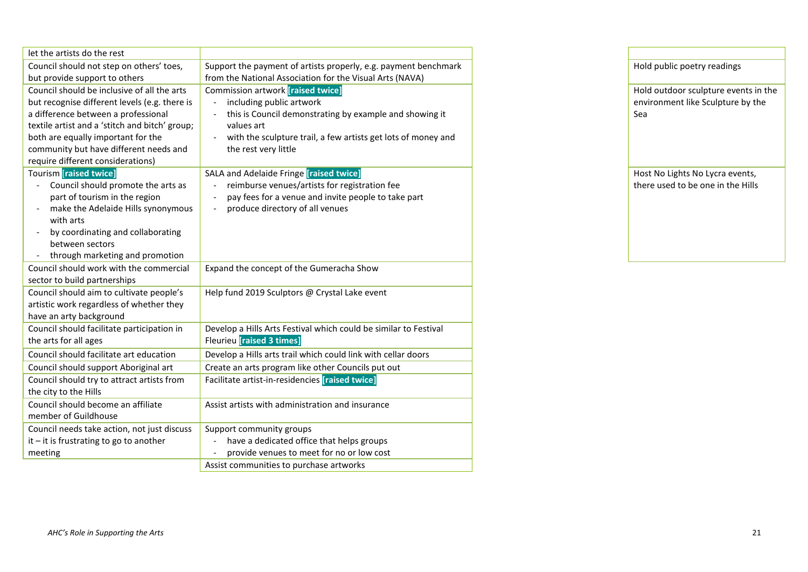| let the artists do the rest                    |                                                                                 |  |
|------------------------------------------------|---------------------------------------------------------------------------------|--|
| Council should not step on others' toes,       | Support the payment of artists properly, e.g. payment benchmark                 |  |
| but provide support to others                  | from the National Association for the Visual Arts (NAVA)                        |  |
| Council should be inclusive of all the arts    | Commission artwork [raised twice]                                               |  |
| but recognise different levels (e.g. there is  | including public artwork                                                        |  |
| a difference between a professional            | this is Council demonstrating by example and showing it                         |  |
| textile artist and a 'stitch and bitch' group; | values art                                                                      |  |
| both are equally important for the             | with the sculpture trail, a few artists get lots of money and                   |  |
| community but have different needs and         | the rest very little                                                            |  |
| require different considerations)              |                                                                                 |  |
| <b>Tourism [raised twice]</b>                  | SALA and Adelaide Fringe [raised twice]                                         |  |
| Council should promote the arts as             | reimburse venues/artists for registration fee                                   |  |
| part of tourism in the region                  | pay fees for a venue and invite people to take part<br>$\overline{\phantom{0}}$ |  |
| make the Adelaide Hills synonymous             | produce directory of all venues                                                 |  |
| with arts<br>by coordinating and collaborating |                                                                                 |  |
| between sectors                                |                                                                                 |  |
| through marketing and promotion                |                                                                                 |  |
| Council should work with the commercial        | Expand the concept of the Gumeracha Show                                        |  |
| sector to build partnerships                   |                                                                                 |  |
| Council should aim to cultivate people's       | Help fund 2019 Sculptors @ Crystal Lake event                                   |  |
| artistic work regardless of whether they       |                                                                                 |  |
| have an arty background                        |                                                                                 |  |
| Council should facilitate participation in     | Develop a Hills Arts Festival which could be similar to Festival                |  |
| the arts for all ages                          | <b>Fleurieu</b> [raised 3 times]                                                |  |
| Council should facilitate art education        | Develop a Hills arts trail which could link with cellar doors                   |  |
| Council should support Aboriginal art          | Create an arts program like other Councils put out                              |  |
| Council should try to attract artists from     | Facilitate artist-in-residencies [raised twice]                                 |  |
| the city to the Hills                          |                                                                                 |  |
| Council should become an affiliate             | Assist artists with administration and insurance                                |  |
| member of Guildhouse                           |                                                                                 |  |
| Council needs take action, not just discuss    | Support community groups                                                        |  |
| $it$ – it is frustrating to go to another      | have a dedicated office that helps groups                                       |  |
| meeting                                        | provide venues to meet for no or low cost                                       |  |
|                                                | Assist communities to purchase artworks                                         |  |

| Hold public poetry readings                                                      |
|----------------------------------------------------------------------------------|
| Hold outdoor sculpture events in the<br>environment like Sculpture by the<br>Sea |
| Host No Lights No Lycra events,                                                  |
| there used to be one in the Hills                                                |
|                                                                                  |
|                                                                                  |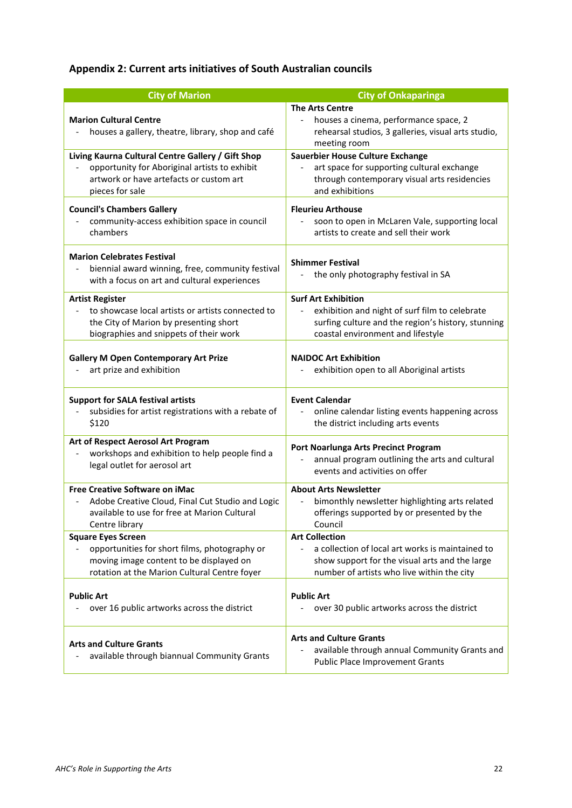# **Appendix 2: Current arts initiatives of South Australian councils**

| <b>City of Marion</b>                                                                                                                 | <b>City of Onkaparinga</b>                                                                                                             |
|---------------------------------------------------------------------------------------------------------------------------------------|----------------------------------------------------------------------------------------------------------------------------------------|
| <b>Marion Cultural Centre</b><br>houses a gallery, theatre, library, shop and café                                                    | <b>The Arts Centre</b><br>houses a cinema, performance space, 2<br>rehearsal studios, 3 galleries, visual arts studio,<br>meeting room |
| Living Kaurna Cultural Centre Gallery / Gift Shop                                                                                     | Sauerbier House Culture Exchange                                                                                                       |
| opportunity for Aboriginal artists to exhibit                                                                                         | art space for supporting cultural exchange                                                                                             |
| artwork or have artefacts or custom art                                                                                               | through contemporary visual arts residencies                                                                                           |
| pieces for sale                                                                                                                       | and exhibitions                                                                                                                        |
| <b>Council's Chambers Gallery</b>                                                                                                     | <b>Fleurieu Arthouse</b>                                                                                                               |
| community-access exhibition space in council                                                                                          | soon to open in McLaren Vale, supporting local                                                                                         |
| chambers                                                                                                                              | artists to create and sell their work                                                                                                  |
| <b>Marion Celebrates Festival</b><br>biennial award winning, free, community festival<br>with a focus on art and cultural experiences | <b>Shimmer Festival</b><br>the only photography festival in SA                                                                         |
| <b>Artist Register</b>                                                                                                                | <b>Surf Art Exhibition</b>                                                                                                             |
| to showcase local artists or artists connected to                                                                                     | exhibition and night of surf film to celebrate                                                                                         |
| the City of Marion by presenting short                                                                                                | surfing culture and the region's history, stunning                                                                                     |
| biographies and snippets of their work                                                                                                | coastal environment and lifestyle                                                                                                      |
| <b>Gallery M Open Contemporary Art Prize</b>                                                                                          | <b>NAIDOC Art Exhibition</b>                                                                                                           |
| art prize and exhibition                                                                                                              | exhibition open to all Aboriginal artists                                                                                              |
| <b>Support for SALA festival artists</b>                                                                                              | <b>Event Calendar</b>                                                                                                                  |
| subsidies for artist registrations with a rebate of                                                                                   | online calendar listing events happening across                                                                                        |
| \$120                                                                                                                                 | the district including arts events                                                                                                     |
| Art of Respect Aerosol Art Program                                                                                                    | Port Noarlunga Arts Precinct Program                                                                                                   |
| workshops and exhibition to help people find a                                                                                        | annual program outlining the arts and cultural                                                                                         |
| legal outlet for aerosol art                                                                                                          | events and activities on offer                                                                                                         |
| Free Creative Software on iMac                                                                                                        | <b>About Arts Newsletter</b>                                                                                                           |
| Adobe Creative Cloud, Final Cut Studio and Logic                                                                                      | bimonthly newsletter highlighting arts related                                                                                         |
| available to use for free at Marion Cultural                                                                                          | offerings supported by or presented by the                                                                                             |
| Centre library                                                                                                                        | Council                                                                                                                                |
| <b>Square Eyes Screen</b>                                                                                                             | <b>Art Collection</b>                                                                                                                  |
| opportunities for short films, photography or                                                                                         | a collection of local art works is maintained to                                                                                       |
| moving image content to be displayed on                                                                                               | show support for the visual arts and the large                                                                                         |
| rotation at the Marion Cultural Centre foyer                                                                                          | number of artists who live within the city                                                                                             |
| <b>Public Art</b>                                                                                                                     | <b>Public Art</b>                                                                                                                      |
| over 16 public artworks across the district                                                                                           | over 30 public artworks across the district                                                                                            |
| <b>Arts and Culture Grants</b><br>available through biannual Community Grants                                                         | <b>Arts and Culture Grants</b><br>available through annual Community Grants and<br><b>Public Place Improvement Grants</b>              |